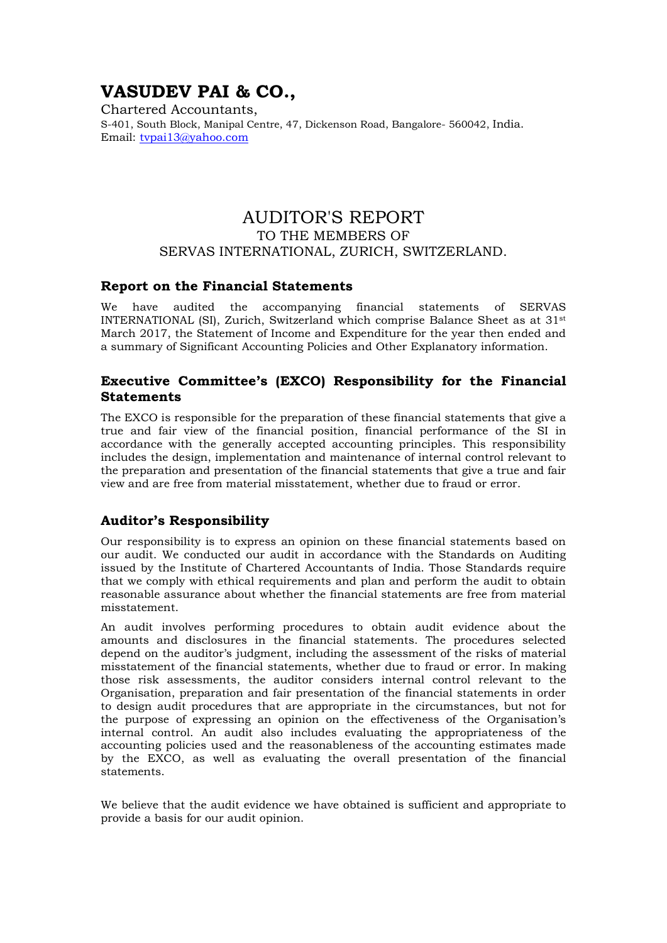# VASUDEV PAI & CO.,

Chartered Accountants, S-401, South Block, Manipal Centre, 47, Dickenson Road, Bangalore- 560042, India. Email: tvpai13@yahoo.com

## AUDITOR'S REPORT TO THE MEMBERS OF SERVAS INTERNATIONAL, ZURICH, SWITZERLAND.

#### Report on the Financial Statements

We have audited the accompanying financial statements of SERVAS INTERNATIONAL (SI), Zurich, Switzerland which comprise Balance Sheet as at 31st March 2017, the Statement of Income and Expenditure for the year then ended and a summary of Significant Accounting Policies and Other Explanatory information.

### Executive Committee's (EXCO) Responsibility for the Financial **Statements**

The EXCO is responsible for the preparation of these financial statements that give a true and fair view of the financial position, financial performance of the SI in accordance with the generally accepted accounting principles. This responsibility includes the design, implementation and maintenance of internal control relevant to the preparation and presentation of the financial statements that give a true and fair view and are free from material misstatement, whether due to fraud or error.

#### Auditor's Responsibility

Our responsibility is to express an opinion on these financial statements based on our audit. We conducted our audit in accordance with the Standards on Auditing issued by the Institute of Chartered Accountants of India. Those Standards require that we comply with ethical requirements and plan and perform the audit to obtain reasonable assurance about whether the financial statements are free from material misstatement.

An audit involves performing procedures to obtain audit evidence about the amounts and disclosures in the financial statements. The procedures selected depend on the auditor's judgment, including the assessment of the risks of material misstatement of the financial statements, whether due to fraud or error. In making those risk assessments, the auditor considers internal control relevant to the Organisation, preparation and fair presentation of the financial statements in order to design audit procedures that are appropriate in the circumstances, but not for the purpose of expressing an opinion on the effectiveness of the Organisation's internal control. An audit also includes evaluating the appropriateness of the accounting policies used and the reasonableness of the accounting estimates made by the EXCO, as well as evaluating the overall presentation of the financial statements.

We believe that the audit evidence we have obtained is sufficient and appropriate to provide a basis for our audit opinion.